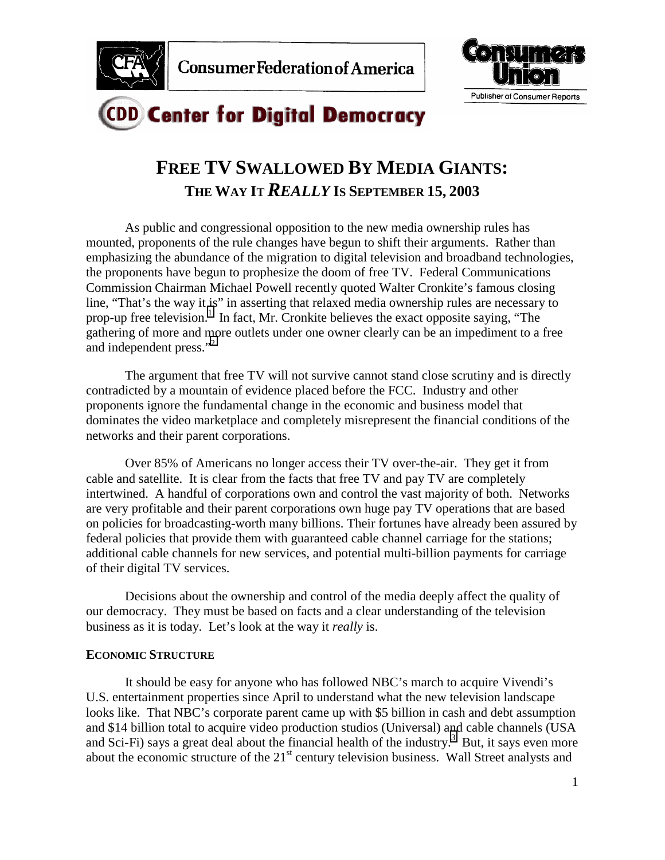



# **CDD Center for Digital Democracy**

## **FREE TV SWALLOWED BY MEDIA GIANTS: THE WAY IT** *REALLY* **IS SEPTEMBER 15, 2003**

As public and congressional opposition to the new media ownership rules has mounted, proponents of the rule changes have begun to shift their arguments. Rather than emphasizing the abundance of the migration to digital television and broadband technologies, the proponents have begun to prophesize the doom of free TV. Federal Communications Commission Chairman Michael Powell recently quoted Walter Cronkite's famous closing line, "That's the way it is" in asserting that relaxed media ownership rules are necessary to prop-up free television.<sup>[1](#page-10-0)</sup> In fact, Mr. Cronkite believes the exact opposite saying, "The gathering of more and more outlets under one owner clearly can be an impediment to a free and independent press."<sup>[2](#page-10-0)</sup>

The argument that free TV will not survive cannot stand close scrutiny and is directly contradicted by a mountain of evidence placed before the FCC. Industry and other proponents ignore the fundamental change in the economic and business model that dominates the video marketplace and completely misrepresent the financial conditions of the networks and their parent corporations.

Over 85% of Americans no longer access their TV over-the-air. They get it from cable and satellite. It is clear from the facts that free TV and pay TV are completely intertwined. A handful of corporations own and control the vast majority of both. Networks are very profitable and their parent corporations own huge pay TV operations that are based on policies for broadcasting-worth many billions. Their fortunes have already been assured by federal policies that provide them with guaranteed cable channel carriage for the stations; additional cable channels for new services, and potential multi-billion payments for carriage of their digital TV services.

Decisions about the ownership and control of the media deeply affect the quality of our democracy. They must be based on facts and a clear understanding of the television business as it is today. Let's look at the way it *really* is.

## **ECONOMIC STRUCTURE**

It should be easy for anyone who has followed NBC's march to acquire Vivendi's U.S. entertainment properties since April to understand what the new television landscape looks like. That NBC's corporate parent came up with \$5 billion in cash and debt assumption and \$14 billion total to acquire video production studios (Universal) and cable channels (USA and Sci-Fi) says a great deal about the financial health of the industry.<sup>[3](#page-10-0)</sup> But, it says even more about the economic structure of the 21<sup>st</sup> century television business. Wall Street analysts and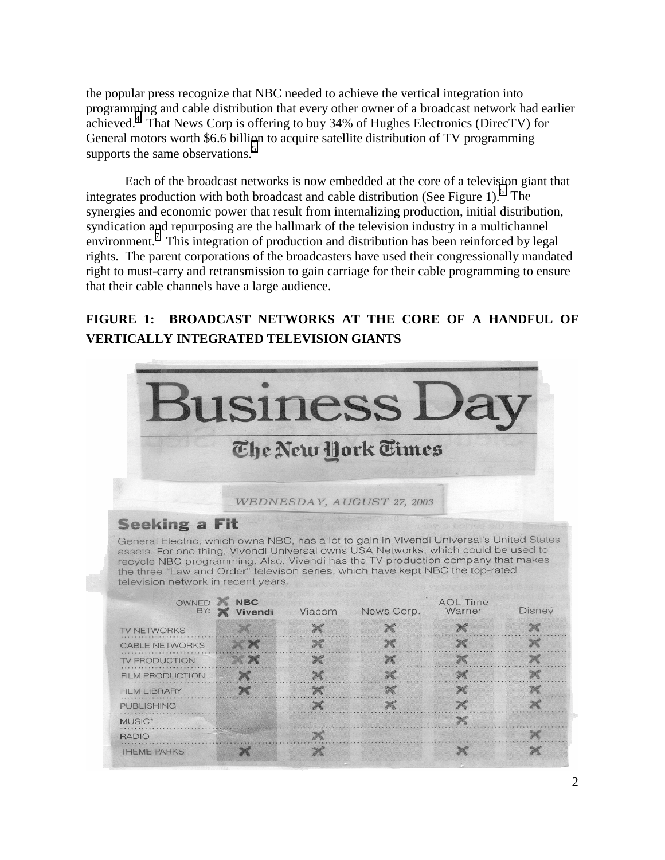the popular press recognize that NBC needed to achieve the vertical integration into programming and cable distribution that every other owner of a broadcast network had earlier achieved.<sup>[4](#page-10-0)</sup> That News Corp is offering to buy 34% of Hughes Electronics (DirecTV) for General motors worth \$6.6 billion to acquire satellite distribution of TV programming supports the same observations.<sup>[5](#page-10-0)</sup>

Each of the broadcast networks is now embedded at the core of a television giant that integrates production with both broadcast and cable distribution (See Figure 1). <sup>6</sup> The synergies and economic power that result from internalizing production, initial distribution, syndication and repurposing are the hallmark of the television industry in a multichannel environment.<sup>[7](#page-10-0)</sup> This integration of production and distribution has been reinforced by legal rights. The parent corporations of the broadcasters have used their congressionally mandated right to must-carry and retransmission to gain carriage for their cable programming to ensure that their cable channels have a large audience.

## **FIGURE 1: BROADCAST NETWORKS AT THE CORE OF A HANDFUL OF VERTICALLY INTEGRATED TELEVISION GIANTS**

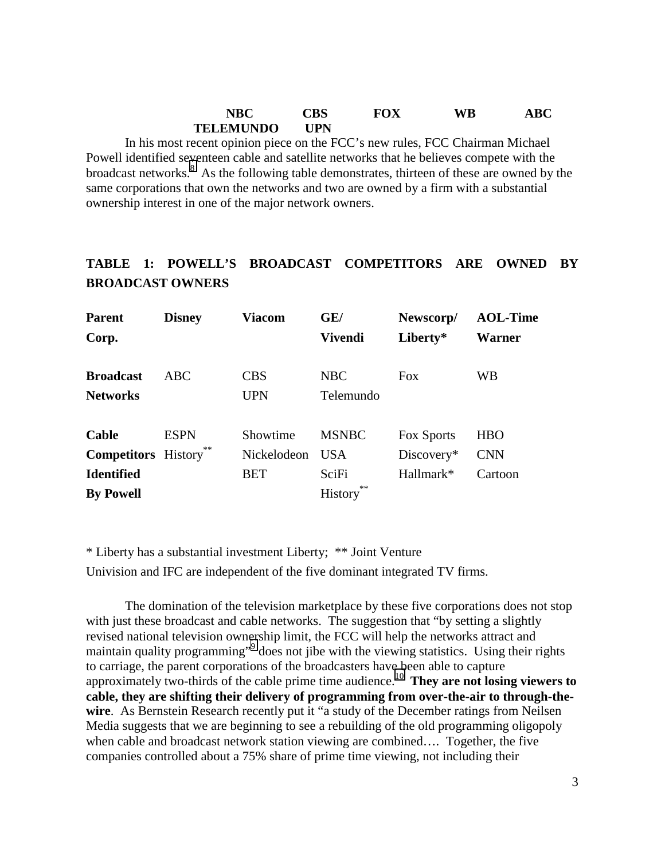## **NBC CBS FOX WB ABC TELEMUNDO UPN**

In his most recent opinion piece on the FCC's new rules, FCC Chairman Michael Powell identified seventeen cable and satellite networks that he believes compete with the broadcast networks. $8$  As the following table demonstrates, thirteen of these are owned by the same corporations that own the networks and two are owned by a firm with a substantial ownership interest in one of the major network owners.

## **TABLE 1: POWELL'S BROADCAST COMPETITORS ARE OWNED BY BROADCAST OWNERS**

| <b>Parent</b><br>Corp.     | <b>Disney</b> | Viacom      | GE/<br><b>Vivendi</b> | Newscorp/<br>Liberty* | <b>AOL-Time</b><br>Warner |
|----------------------------|---------------|-------------|-----------------------|-----------------------|---------------------------|
| <b>Broadcast</b>           | ABC.          | <b>CBS</b>  | <b>NBC</b>            | <b>Fox</b>            | <b>WB</b>                 |
|                            |               |             |                       |                       |                           |
| <b>Networks</b>            |               | <b>UPN</b>  | Telemundo             |                       |                           |
|                            |               |             |                       |                       |                           |
| Cable                      | <b>ESPN</b>   | Showtime    | <b>MSNBC</b>          | Fox Sports            | <b>HBO</b>                |
| <b>Competitors</b> History |               | Nickelodeon | <b>USA</b>            | Discovery*            | <b>CNN</b>                |
| <b>Identified</b>          |               | <b>BET</b>  | SciFi                 | $Hallmark*$           | Cartoon                   |
| <b>By Powell</b>           |               |             | **<br><b>History</b>  |                       |                           |

\* Liberty has a substantial investment Liberty; \*\* Joint Venture Univision and IFC are independent of the five dominant integrated TV firms.

The domination of the television marketplace by these five corporations does not stop with just these broadcast and cable networks. The suggestion that "by setting a slightly revised national television ownership limit, the FCC will help the networks attract and maintain quality programming"<sup>[9](#page-10-0)</sup> does not jibe with the viewing statistics. Using their rights to carriage, the parent corporations of the broadcasters have been able to capture approximately two-thirds of the cable prime time audience.[10](#page-10-0) **They are not losing viewers to cable, they are shifting their delivery of programming from over-the-air to through-thewire**. As Bernstein Research recently put it "a study of the December ratings from Neilsen Media suggests that we are beginning to see a rebuilding of the old programming oligopoly when cable and broadcast network station viewing are combined…. Together, the five companies controlled about a 75% share of prime time viewing, not including their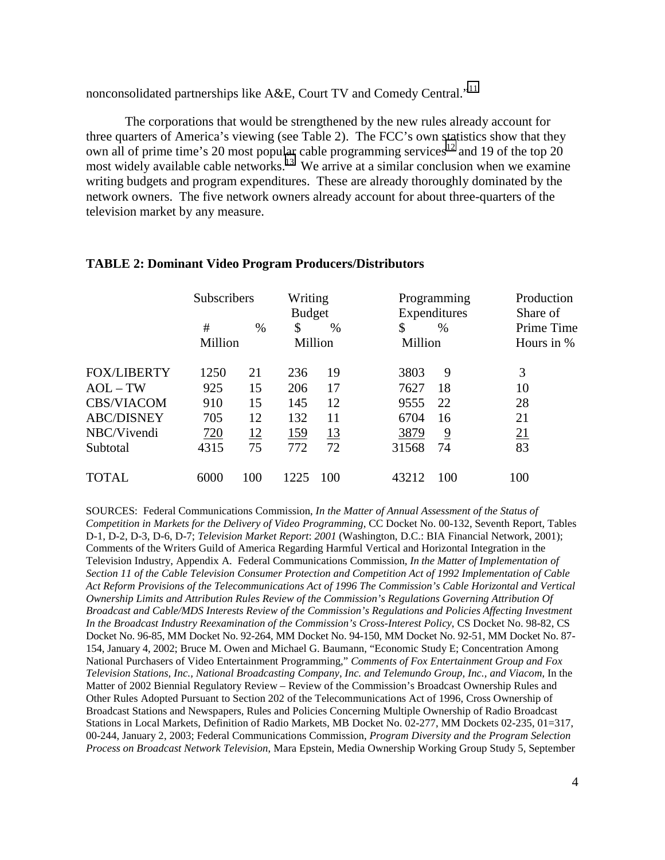nonconsolidated partnerships like  $A&E$ , Court TV and Comedy Central."<sup>[11](#page-10-0)</sup>

The corporations that would be strengthened by the new rules already account for three quarters of America's viewing (see Table 2). The FCC's own statistics show that they own all of prime time's 20 most popular cable programming services<sup>12</sup> and 19 of the top 20 most widely available cable networks.<sup>13</sup> We arrive at a similar conclusion when we examine writing budgets and program expenditures. These are already thoroughly dominated by the network owners. The five network owners already account for about three-quarters of the television market by any measure.

|                    | Subscribers |            | Writing<br><b>Budget</b> |           |         | Programming<br>Expenditures | Production<br>Share of |
|--------------------|-------------|------------|--------------------------|-----------|---------|-----------------------------|------------------------|
|                    | #           | $\%$       | \$                       | %         | \$      | $\%$                        | Prime Time             |
|                    | Million     |            |                          | Million   | Million |                             | Hours in %             |
| <b>FOX/LIBERTY</b> | 1250        | 21         | 236                      | 19        | 3803    | 9                           | 3                      |
| $AOL-TW$           | 925         | 15         | 206                      | 17        | 7627    | 18                          | 10                     |
| <b>CBS/VIACOM</b>  | 910         | 15         | 145                      | 12        | 9555    | 22                          | 28                     |
| <b>ABC/DISNEY</b>  | 705         | 12         | 132                      | 11        | 6704    | 16                          | 21                     |
| NBC/Vivendi        | 720         | <u> 12</u> | <u>159</u>               | <u>13</u> | 3879    | $\overline{9}$              | 21                     |
| Subtotal           | 4315        | 75         | 772                      | 72        | 31568   | 74                          | 83                     |
| <b>TOTAL</b>       | 6000        | 100        | 1225                     | 100       | 43212   | 100                         | 100                    |

#### **TABLE 2: Dominant Video Program Producers/Distributors**

SOURCES: Federal Communications Commission, *In the Matter of Annual Assessment of the Status of Competition in Markets for the Delivery of Video Programming*, CC Docket No. 00-132, Seventh Report, Tables D-1, D-2, D-3, D-6, D-7; *Television Market Report*: *2001* (Washington, D.C.: BIA Financial Network, 2001); Comments of the Writers Guild of America Regarding Harmful Vertical and Horizontal Integration in the Television Industry, Appendix A. Federal Communications Commission*, In the Matter of Implementation of Section 11 of the Cable Television Consumer Protection and Competition Act of 1992 Implementation of Cable Act Reform Provisions of the Telecommunications Act of 1996 The Commission's Cable Horizontal and Vertical Ownership Limits and Attribution Rules Review of the Commission's Regulations Governing Attribution Of Broadcast and Cable/MDS Interests Review of the Commission's Regulations and Policies Affecting Investment In the Broadcast Industry Reexamination of the Commission's Cross-Interest Policy*, CS Docket No. 98-82, CS Docket No. 96-85, MM Docket No. 92-264, MM Docket No. 94-150, MM Docket No. 92-51, MM Docket No. 87- 154, January 4, 2002; Bruce M. Owen and Michael G. Baumann, "Economic Study E; Concentration Among National Purchasers of Video Entertainment Programming," *Comments of Fox Entertainment Group and Fox Television Stations, Inc., National Broadcasting Company, Inc. and Telemundo Group, Inc., and Viacom,* In the Matter of 2002 Biennial Regulatory Review – Review of the Commission's Broadcast Ownership Rules and Other Rules Adopted Pursuant to Section 202 of the Telecommunications Act of 1996, Cross Ownership of Broadcast Stations and Newspapers, Rules and Policies Concerning Multiple Ownership of Radio Broadcast Stations in Local Markets, Definition of Radio Markets, MB Docket No. 02-277, MM Dockets 02-235, 01=317, 00-244, January 2, 2003; Federal Communications Commission, *Program Diversity and the Program Selection Process on Broadcast Network Television*, Mara Epstein, Media Ownership Working Group Study 5, September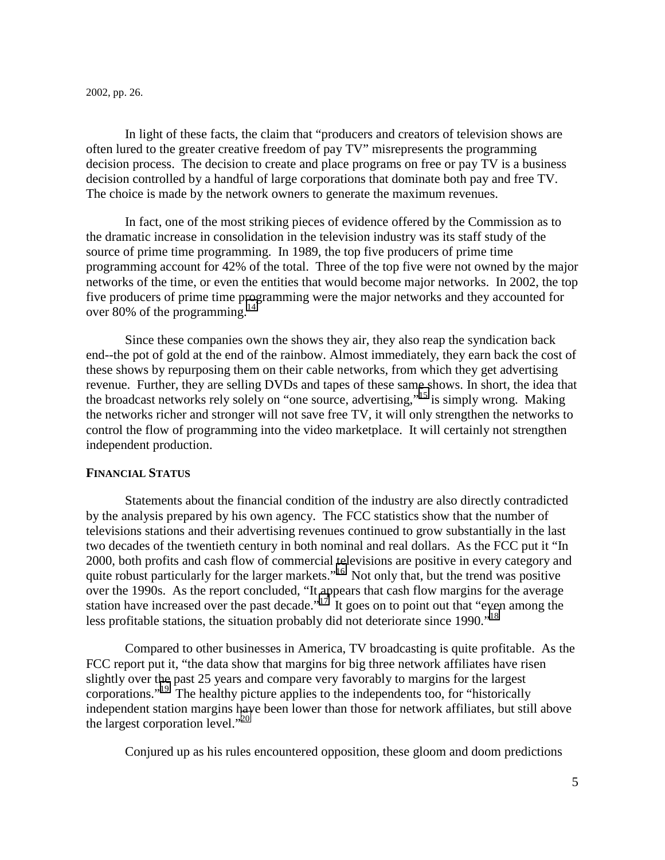#### 2002, pp. 26.

In light of these facts, the claim that "producers and creators of television shows are often lured to the greater creative freedom of pay TV" misrepresents the programming decision process. The decision to create and place programs on free or pay TV is a business decision controlled by a handful of large corporations that dominate both pay and free TV. The choice is made by the network owners to generate the maximum revenues.

In fact, one of the most striking pieces of evidence offered by the Commission as to the dramatic increase in consolidation in the television industry was its staff study of the source of prime time programming. In 1989, the top five producers of prime time programming account for 42% of the total. Three of the top five were not owned by the major networks of the time, or even the entities that would become major networks. In 2002, the top five producers of prime time programming were the major networks and they accounted for over 80% of the programming.<sup>[14](#page-10-0)</sup>

Since these companies own the shows they air, they also reap the syndication back end--the pot of gold at the end of the rainbow. Almost immediately, they earn back the cost of these shows by repurposing them on their cable networks, from which they get advertising revenue. Further, they are selling DVDs and tapes of these same shows. In short, the idea that the broadcast networks rely solely on "one source, advertising,"[15](#page-10-0) is simply wrong. Making the networks richer and stronger will not save free TV, it will only strengthen the networks to control the flow of programming into the video marketplace. It will certainly not strengthen independent production.

#### **FINANCIAL STATUS**

Statements about the financial condition of the industry are also directly contradicted by the analysis prepared by his own agency. The FCC statistics show that the number of televisions stations and their advertising revenues continued to grow substantially in the last two decades of the twentieth century in both nominal and real dollars. As the FCC put it "In 2000, both profits and cash flow of commercial televisions are positive in every category and quite robust particularly for the larger markets."<sup>16</sup> Not only that, but the trend was positive over the 1990s. As the report concluded, "It appears that cash flow margins for the average station have increased over the past decade."<sup>17</sup> It goes on to point out that "even among the less profitable stations, the situation probably did not deteriorate since 1990."<sup>18</sup>

Compared to other businesses in America, TV broadcasting is quite profitable. As the FCC report put it, "the data show that margins for big three network affiliates have risen slightly over the past 25 years and compare very favorably to margins for the largest corporations."[19](#page-10-0) The healthy picture applies to the independents too, for "historically independent station margins have been lower than those for network affiliates, but still above the largest corporation level."[20](#page-10-0)

Conjured up as his rules encountered opposition, these gloom and doom predictions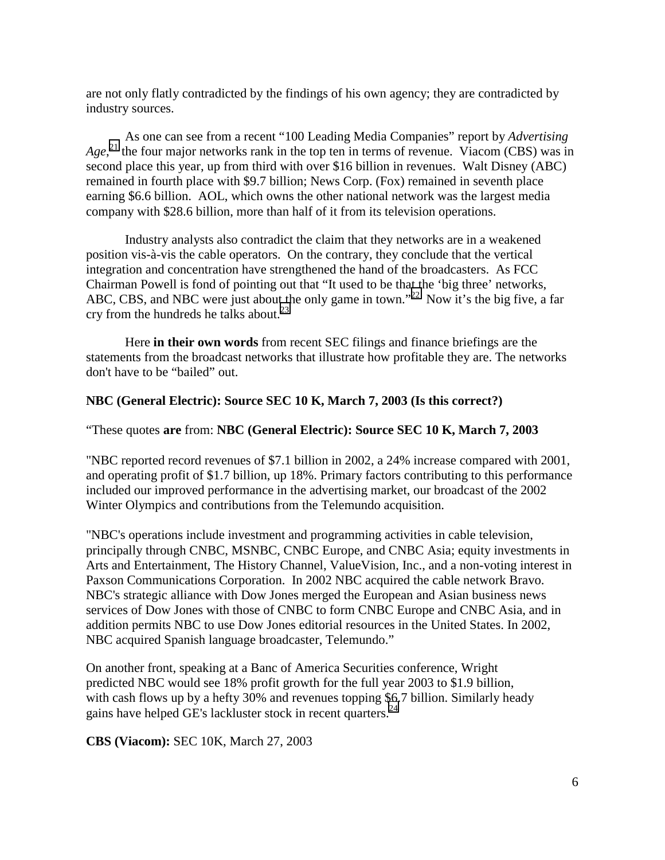are not only flatly contradicted by the findings of his own agency; they are contradicted by industry sources.

As one can see from a recent "100 Leading Media Companies" report by *Advertising*  Age,<sup>21</sup> the four major networks rank in the top ten in terms of revenue. Viacom (CBS) was in second place this year, up from third with over \$16 billion in revenues. Walt Disney (ABC) remained in fourth place with \$9.7 billion; News Corp. (Fox) remained in seventh place earning \$6.6 billion. AOL, which owns the other national network was the largest media company with \$28.6 billion, more than half of it from its television operations.

Industry analysts also contradict the claim that they networks are in a weakened position vis-à-vis the cable operators. On the contrary, they conclude that the vertical integration and concentration have strengthened the hand of the broadcasters. As FCC Chairman Powell is fond of pointing out that "It used to be that the 'big three' networks, ABC, CBS, and NBC were just about the only game in town."<sup>22</sup> Now it's the big five, a far cry from the hundreds he talks about. $^{23}$ 

Here **in their own words** from recent SEC filings and finance briefings are the statements from the broadcast networks that illustrate how profitable they are. The networks don't have to be "bailed" out.

## **NBC (General Electric): Source SEC 10 K, March 7, 2003 (Is this correct?)**

"These quotes **are** from: **NBC (General Electric): Source SEC 10 K, March 7, 2003**

"NBC reported record revenues of \$7.1 billion in 2002, a 24% increase compared with 2001, and operating profit of \$1.7 billion, up 18%. Primary factors contributing to this performance included our improved performance in the advertising market, our broadcast of the 2002 Winter Olympics and contributions from the Telemundo acquisition.

"NBC's operations include investment and programming activities in cable television, principally through CNBC, MSNBC, CNBC Europe, and CNBC Asia; equity investments in Arts and Entertainment, The History Channel, ValueVision, Inc., and a non-voting interest in Paxson Communications Corporation. In 2002 NBC acquired the cable network Bravo. NBC's strategic alliance with Dow Jones merged the European and Asian business news services of Dow Jones with those of CNBC to form CNBC Europe and CNBC Asia, and in addition permits NBC to use Dow Jones editorial resources in the United States. In 2002, NBC acquired Spanish language broadcaster, Telemundo."

On another front, speaking at a Banc of America Securities conference, Wright predicted NBC would see 18% profit growth for the full year 2003 to \$1.9 billion, with cash flows up by a hefty 30% and revenues topping \$6.7 billion. Similarly heady gains have helped GE's lackluster stock in recent quarters.<sup>24</sup>

**CBS (Viacom):** SEC 10K, March 27, 2003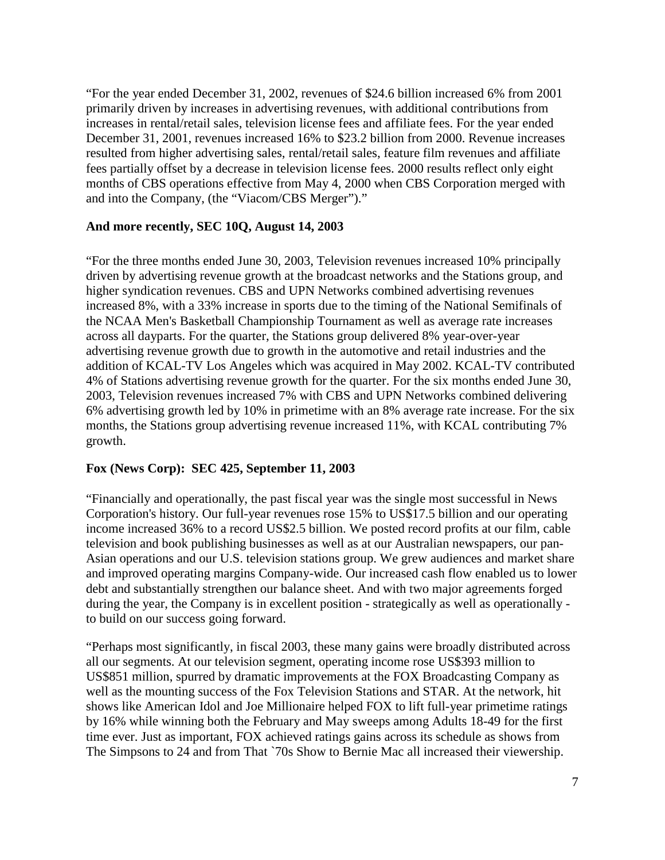"For the year ended December 31, 2002, revenues of \$24.6 billion increased 6% from 2001 primarily driven by increases in advertising revenues, with additional contributions from increases in rental/retail sales, television license fees and affiliate fees. For the year ended December 31, 2001, revenues increased 16% to \$23.2 billion from 2000. Revenue increases resulted from higher advertising sales, rental/retail sales, feature film revenues and affiliate fees partially offset by a decrease in television license fees. 2000 results reflect only eight months of CBS operations effective from May 4, 2000 when CBS Corporation merged with and into the Company, (the "Viacom/CBS Merger")."

## **And more recently, SEC 10Q, August 14, 2003**

"For the three months ended June 30, 2003, Television revenues increased 10% principally driven by advertising revenue growth at the broadcast networks and the Stations group, and higher syndication revenues. CBS and UPN Networks combined advertising revenues increased 8%, with a 33% increase in sports due to the timing of the National Semifinals of the NCAA Men's Basketball Championship Tournament as well as average rate increases across all dayparts. For the quarter, the Stations group delivered 8% year-over-year advertising revenue growth due to growth in the automotive and retail industries and the addition of KCAL-TV Los Angeles which was acquired in May 2002. KCAL-TV contributed 4% of Stations advertising revenue growth for the quarter. For the six months ended June 30, 2003, Television revenues increased 7% with CBS and UPN Networks combined delivering 6% advertising growth led by 10% in primetime with an 8% average rate increase. For the six months, the Stations group advertising revenue increased 11%, with KCAL contributing 7% growth.

## **Fox (News Corp): SEC 425, September 11, 2003**

"Financially and operationally, the past fiscal year was the single most successful in News Corporation's history. Our full-year revenues rose 15% to US\$17.5 billion and our operating income increased 36% to a record US\$2.5 billion. We posted record profits at our film, cable television and book publishing businesses as well as at our Australian newspapers, our pan-Asian operations and our U.S. television stations group. We grew audiences and market share and improved operating margins Company-wide. Our increased cash flow enabled us to lower debt and substantially strengthen our balance sheet. And with two major agreements forged during the year, the Company is in excellent position - strategically as well as operationally to build on our success going forward.

"Perhaps most significantly, in fiscal 2003, these many gains were broadly distributed across all our segments. At our television segment, operating income rose US\$393 million to US\$851 million, spurred by dramatic improvements at the FOX Broadcasting Company as well as the mounting success of the Fox Television Stations and STAR. At the network, hit shows like American Idol and Joe Millionaire helped FOX to lift full-year primetime ratings by 16% while winning both the February and May sweeps among Adults 18-49 for the first time ever. Just as important, FOX achieved ratings gains across its schedule as shows from The Simpsons to 24 and from That `70s Show to Bernie Mac all increased their viewership.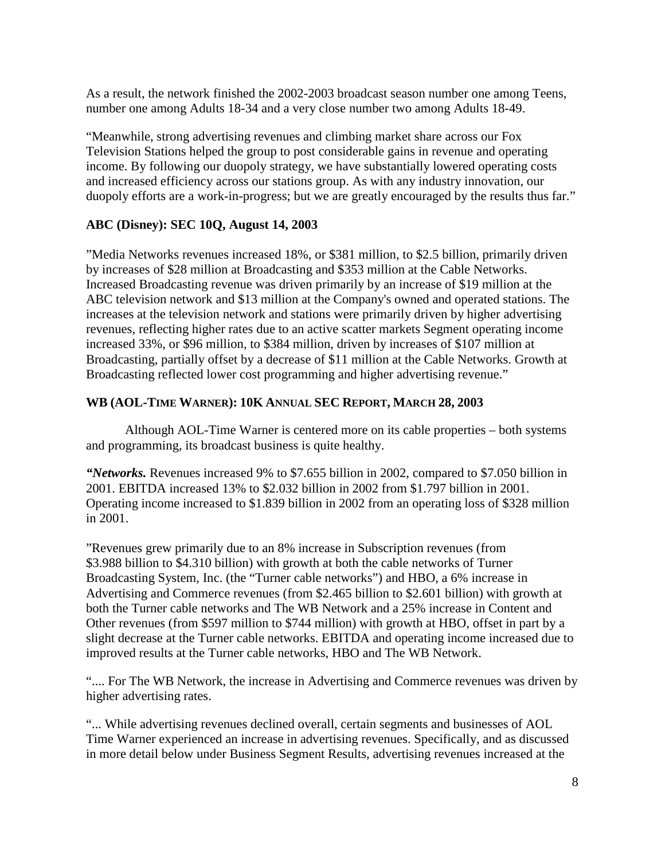As a result, the network finished the 2002-2003 broadcast season number one among Teens, number one among Adults 18-34 and a very close number two among Adults 18-49.

"Meanwhile, strong advertising revenues and climbing market share across our Fox Television Stations helped the group to post considerable gains in revenue and operating income. By following our duopoly strategy, we have substantially lowered operating costs and increased efficiency across our stations group. As with any industry innovation, our duopoly efforts are a work-in-progress; but we are greatly encouraged by the results thus far."

## **ABC (Disney): SEC 10Q, August 14, 2003**

"Media Networks revenues increased 18%, or \$381 million, to \$2.5 billion, primarily driven by increases of \$28 million at Broadcasting and \$353 million at the Cable Networks. Increased Broadcasting revenue was driven primarily by an increase of \$19 million at the ABC television network and \$13 million at the Company's owned and operated stations. The increases at the television network and stations were primarily driven by higher advertising revenues, reflecting higher rates due to an active scatter markets Segment operating income increased 33%, or \$96 million, to \$384 million, driven by increases of \$107 million at Broadcasting, partially offset by a decrease of \$11 million at the Cable Networks. Growth at Broadcasting reflected lower cost programming and higher advertising revenue."

## **WB (AOL-TIME WARNER): 10K ANNUAL SEC REPORT, MARCH 28, 2003**

Although AOL-Time Warner is centered more on its cable properties – both systems and programming, its broadcast business is quite healthy.

*"Networks.* Revenues increased 9% to \$7.655 billion in 2002, compared to \$7.050 billion in 2001. EBITDA increased 13% to \$2.032 billion in 2002 from \$1.797 billion in 2001. Operating income increased to \$1.839 billion in 2002 from an operating loss of \$328 million in 2001.

"Revenues grew primarily due to an 8% increase in Subscription revenues (from \$3.988 billion to \$4.310 billion) with growth at both the cable networks of Turner Broadcasting System, Inc. (the "Turner cable networks") and HBO, a 6% increase in Advertising and Commerce revenues (from \$2.465 billion to \$2.601 billion) with growth at both the Turner cable networks and The WB Network and a 25% increase in Content and Other revenues (from \$597 million to \$744 million) with growth at HBO, offset in part by a slight decrease at the Turner cable networks. EBITDA and operating income increased due to improved results at the Turner cable networks, HBO and The WB Network.

".... For The WB Network, the increase in Advertising and Commerce revenues was driven by higher advertising rates.

"... While advertising revenues declined overall, certain segments and businesses of AOL Time Warner experienced an increase in advertising revenues. Specifically, and as discussed in more detail below under Business Segment Results, advertising revenues increased at the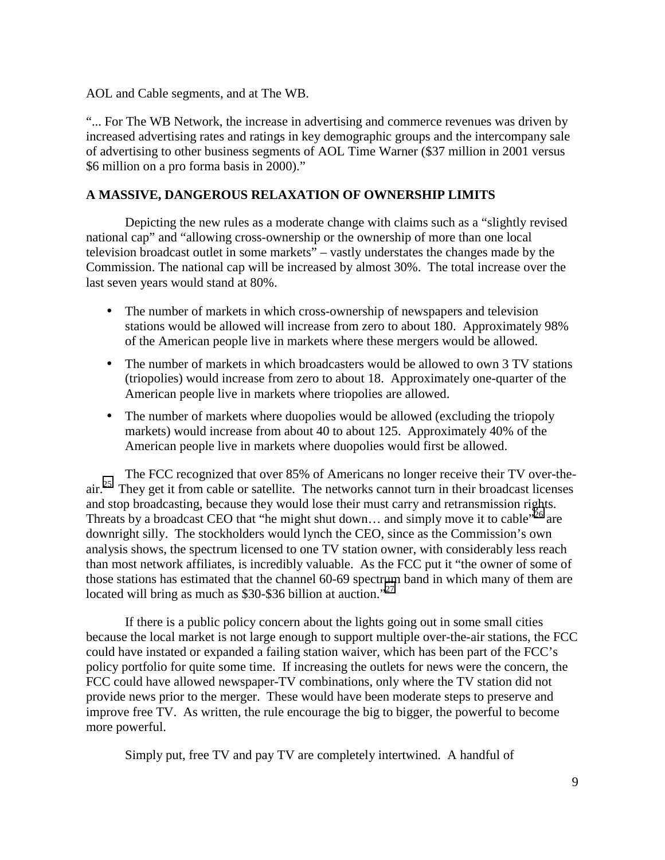AOL and Cable segments, and at The WB.

"... For The WB Network, the increase in advertising and commerce revenues was driven by increased advertising rates and ratings in key demographic groups and the intercompany sale of advertising to other business segments of AOL Time Warner (\$37 million in 2001 versus \$6 million on a pro forma basis in 2000)."

## **A MASSIVE, DANGEROUS RELAXATION OF OWNERSHIP LIMITS**

Depicting the new rules as a moderate change with claims such as a "slightly revised national cap" and "allowing cross-ownership or the ownership of more than one local television broadcast outlet in some markets" – vastly understates the changes made by the Commission. The national cap will be increased by almost 30%. The total increase over the last seven years would stand at 80%.

- The number of markets in which cross-ownership of newspapers and television stations would be allowed will increase from zero to about 180. Approximately 98% of the American people live in markets where these mergers would be allowed.
- The number of markets in which broadcasters would be allowed to own 3 TV stations (triopolies) would increase from zero to about 18. Approximately one-quarter of the American people live in markets where triopolies are allowed.
- The number of markets where duopolies would be allowed (excluding the triopoly markets) would increase from about 40 to about 125. Approximately 40% of the American people live in markets where duopolies would first be allowed.

The FCC recognized that over 85% of Americans no longer receive their TV over-theair.<sup>25</sup> They get it from cable or satellite. The networks cannot turn in their broadcast licenses and stop broadcasting, because they would lose their must carry and retransmission rights. Threats by a broadcast CEO that "he might shut down... and simply move it to cable"<sup>26</sup> are downright silly. The stockholders would lynch the CEO, since as the Commission's own analysis shows, the spectrum licensed to one TV station owner, with considerably less reach than most network affiliates, is incredibly valuable. As the FCC put it "the owner of some of those stations has estimated that the channel 60-69 spectrum band in which many of them are located will bring as much as \$30-\$36 billion at auction."<sup>27</sup>

If there is a public policy concern about the lights going out in some small cities because the local market is not large enough to support multiple over-the-air stations, the FCC could have instated or expanded a failing station waiver, which has been part of the FCC's policy portfolio for quite some time. If increasing the outlets for news were the concern, the FCC could have allowed newspaper-TV combinations, only where the TV station did not provide news prior to the merger. These would have been moderate steps to preserve and improve free TV. As written, the rule encourage the big to bigger, the powerful to become more powerful.

Simply put, free TV and pay TV are completely intertwined. A handful of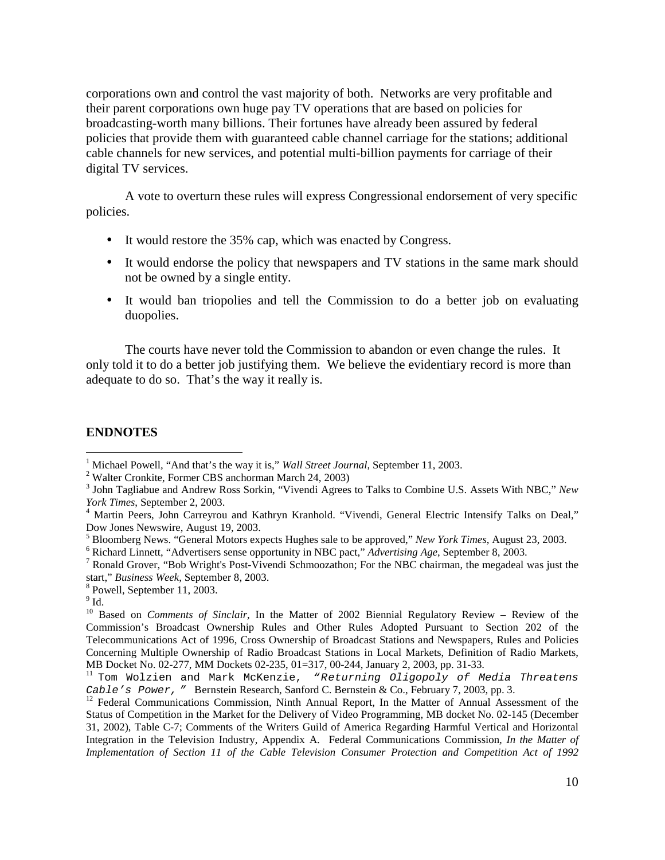corporations own and control the vast majority of both. Networks are very profitable and their parent corporations own huge pay TV operations that are based on policies for broadcasting-worth many billions. Their fortunes have already been assured by federal policies that provide them with guaranteed cable channel carriage for the stations; additional cable channels for new services, and potential multi-billion payments for carriage of their digital TV services.

A vote to overturn these rules will express Congressional endorsement of very specific policies.

- It would restore the 35% cap, which was enacted by Congress.
- It would endorse the policy that newspapers and TV stations in the same mark should not be owned by a single entity.
- It would ban triopolies and tell the Commission to do a better job on evaluating duopolies.

The courts have never told the Commission to abandon or even change the rules. It only told it to do a better job justifying them. We believe the evidentiary record is more than adequate to do so. That's the way it really is.

## **ENDNOTES**

<sup>8</sup> Powell, September 11, 2003.

<sup>&</sup>lt;sup>1</sup> Michael Powell, "And that's the way it is," *Wall Street Journal*, September 11, 2003.

Walter Cronkite, Former CBS anchorman March 24, 2003)

<sup>3</sup> John Tagliabue and Andrew Ross Sorkin, "Vivendi Agrees to Talks to Combine U.S. Assets With NBC," *New York Times*, September 2, 2003. 4

<sup>&</sup>lt;sup>4</sup> Martin Peers, John Carreyrou and Kathryn Kranhold. "Vivendi, General Electric Intensify Talks on Deal," Dow Jones Newswire, August 19, 2003.

<sup>&</sup>lt;sup>5</sup> Bloomberg News. "General Motors expects Hughes sale to be approved," *New York Times*, August 23, 2003.

<sup>&</sup>lt;sup>6</sup> Richard Linnett, "Advertisers sense opportunity in NBC pact," *Advertising Age*, September 8, 2003.

 $\frac{7}{1}$  Ronald Grover, "Bob Wright's Post-Vivendi Schmoozathon; For the NBC chairman, the megadeal was just the start," Business Week, September 8, 2003.

 $^9$  Id.

<sup>&</sup>lt;sup>10</sup> Based on *Comments of Sinclair*, In the Matter of 2002 Biennial Regulatory Review – Review of the Commission's Broadcast Ownership Rules and Other Rules Adopted Pursuant to Section 202 of the Telecommunications Act of 1996, Cross Ownership of Broadcast Stations and Newspapers, Rules and Policies Concerning Multiple Ownership of Radio Broadcast Stations in Local Markets, Definition of Radio Markets, MB Docket No. 02-277, MM Dockets 02-235, 01=317, 00-244, January 2, 2003, pp. 31-33.

<sup>&</sup>lt;sup>11</sup> Tom Wolzien and Mark McKenzie, "Returning Oligopoly of Media Threatens Cable's Power, " Bernstein Research, Sanford C. Bernstein & Co., February 7, 2003, pp. 3.

<sup>&</sup>lt;sup>12</sup> Federal Communications Commission, Ninth Annual Report, In the Matter of Annual Assessment of the Status of Competition in the Market for the Delivery of Video Programming, MB docket No. 02-145 (December 31, 2002), Table C-7; Comments of the Writers Guild of America Regarding Harmful Vertical and Horizontal Integration in the Television Industry, Appendix A. Federal Communications Commission*, In the Matter of Implementation of Section 11 of the Cable Television Consumer Protection and Competition Act of 1992*